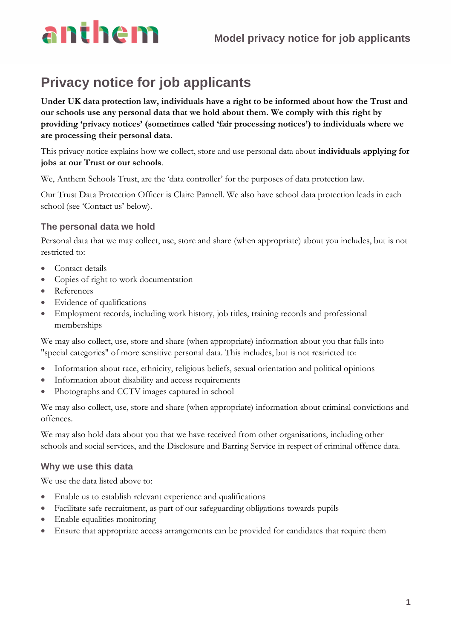# anthem

### **Privacy notice for job applicants**

**Under UK data protection law, individuals have a right to be informed about how the Trust and our schools use any personal data that we hold about them. We comply with this right by providing 'privacy notices' (sometimes called 'fair processing notices') to individuals where we are processing their personal data.**

This privacy notice explains how we collect, store and use personal data about **individuals applying for jobs at our Trust or our schools**.

We, Anthem Schools Trust, are the 'data controller' for the purposes of data protection law.

Our Trust Data Protection Officer is Claire Pannell. We also have school data protection leads in each school (see 'Contact us' below).

#### **The personal data we hold**

Personal data that we may collect, use, store and share (when appropriate) about you includes, but is not restricted to:

- Contact details
- Copies of right to work documentation
- References
- Evidence of qualifications
- Employment records, including work history, job titles, training records and professional memberships

We may also collect, use, store and share (when appropriate) information about you that falls into "special categories" of more sensitive personal data. This includes, but is not restricted to:

- Information about race, ethnicity, religious beliefs, sexual orientation and political opinions
- Information about disability and access requirements
- Photographs and CCTV images captured in school

We may also collect, use, store and share (when appropriate) information about criminal convictions and offences.

We may also hold data about you that we have received from other organisations, including other schools and social services, and the Disclosure and Barring Service in respect of criminal offence data.

#### **Why we use this data**

We use the data listed above to:

- Enable us to establish relevant experience and qualifications
- Facilitate safe recruitment, as part of our safeguarding obligations towards pupils
- Enable equalities monitoring
- Ensure that appropriate access arrangements can be provided for candidates that require them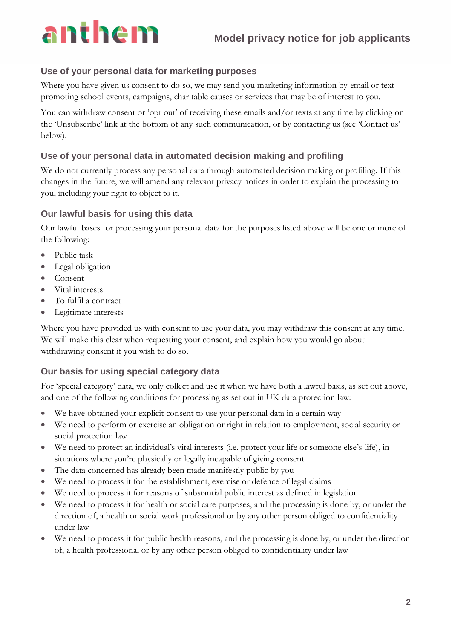# anthem

#### **Use of your personal data for marketing purposes**

Where you have given us consent to do so, we may send you marketing information by email or text promoting school events, campaigns, charitable causes or services that may be of interest to you.

You can withdraw consent or 'opt out' of receiving these emails and/or texts at any time by clicking on the 'Unsubscribe' link at the bottom of any such communication, or by contacting us (see 'Contact us' below).

#### **Use of your personal data in automated decision making and profiling**

We do not currently process any personal data through automated decision making or profiling. If this changes in the future, we will amend any relevant privacy notices in order to explain the processing to you, including your right to object to it.

#### **Our lawful basis for using this data**

Our lawful bases for processing your personal data for the purposes listed above will be one or more of the following:

- Public task
- Legal obligation
- Consent
- Vital interests
- To fulfil a contract
- Legitimate interests

Where you have provided us with consent to use your data, you may withdraw this consent at any time. We will make this clear when requesting your consent, and explain how you would go about withdrawing consent if you wish to do so.

#### **Our basis for using special category data**

For 'special category' data, we only collect and use it when we have both a lawful basis, as set out above, and one of the following conditions for processing as set out in UK data protection law:

- We have obtained your explicit consent to use your personal data in a certain way
- We need to perform or exercise an obligation or right in relation to employment, social security or social protection law
- We need to protect an individual's vital interests (i.e. protect your life or someone else's life), in situations where you're physically or legally incapable of giving consent
- The data concerned has already been made manifestly public by you
- We need to process it for the establishment, exercise or defence of legal claims
- We need to process it for reasons of substantial public interest as defined in legislation
- We need to process it for health or social care purposes, and the processing is done by, or under the direction of, a health or social work professional or by any other person obliged to confidentiality under law
- We need to process it for public health reasons, and the processing is done by, or under the direction of, a health professional or by any other person obliged to confidentiality under law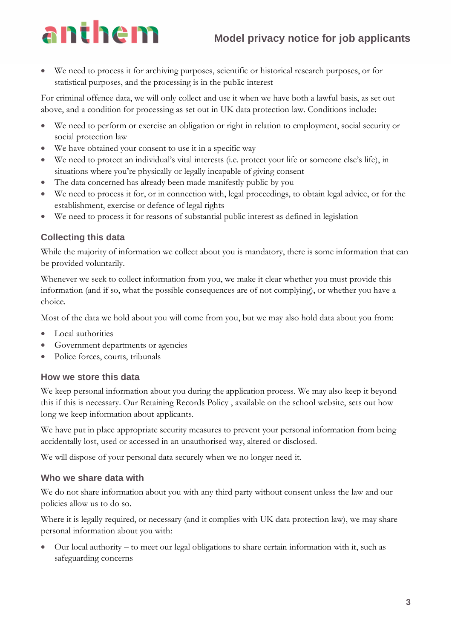### **Model privacy notice for job applicants**

## anthem

We need to process it for archiving purposes, scientific or historical research purposes, or for statistical purposes, and the processing is in the public interest

For criminal offence data, we will only collect and use it when we have both a lawful basis, as set out above, and a condition for processing as set out in UK data protection law. Conditions include:

- We need to perform or exercise an obligation or right in relation to employment, social security or social protection law
- We have obtained your consent to use it in a specific way
- We need to protect an individual's vital interests (i.e. protect your life or someone else's life), in situations where you're physically or legally incapable of giving consent
- The data concerned has already been made manifestly public by you
- We need to process it for, or in connection with, legal proceedings, to obtain legal advice, or for the establishment, exercise or defence of legal rights
- We need to process it for reasons of substantial public interest as defined in legislation

#### **Collecting this data**

While the majority of information we collect about you is mandatory, there is some information that can be provided voluntarily.

Whenever we seek to collect information from you, we make it clear whether you must provide this information (and if so, what the possible consequences are of not complying), or whether you have a choice.

Most of the data we hold about you will come from you, but we may also hold data about you from:

- Local authorities
- Government departments or agencies
- Police forces, courts, tribunals

#### **How we store this data**

We keep personal information about you during the application process. We may also keep it beyond this if this is necessary. Our Retaining Records Policy , available on the school website, sets out how long we keep information about applicants.

We have put in place appropriate security measures to prevent your personal information from being accidentally lost, used or accessed in an unauthorised way, altered or disclosed.

We will dispose of your personal data securely when we no longer need it.

#### **Who we share data with**

We do not share information about you with any third party without consent unless the law and our policies allow us to do so.

Where it is legally required, or necessary (and it complies with UK data protection law), we may share personal information about you with:

• Our local authority – to meet our legal obligations to share certain information with it, such as safeguarding concerns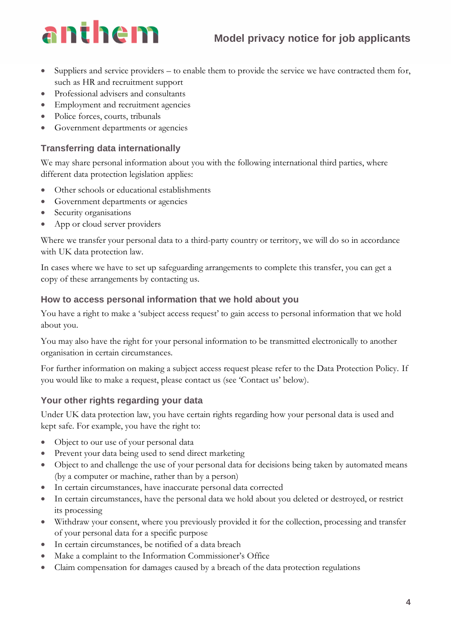### **Model privacy notice for job applicants**

## anthem

- Suppliers and service providers to enable them to provide the service we have contracted them for, such as HR and recruitment support
- Professional advisers and consultants
- Employment and recruitment agencies
- Police forces, courts, tribunals
- Government departments or agencies

#### **Transferring data internationally**

We may share personal information about you with the following international third parties, where different data protection legislation applies:

- Other schools or educational establishments
- Government departments or agencies
- Security organisations
- App or cloud server providers

Where we transfer your personal data to a third-party country or territory, we will do so in accordance with UK data protection law.

In cases where we have to set up safeguarding arrangements to complete this transfer, you can get a copy of these arrangements by contacting us.

#### **How to access personal information that we hold about you**

You have a right to make a 'subject access request' to gain access to personal information that we hold about you.

You may also have the right for your personal information to be transmitted electronically to another organisation in certain circumstances.

For further information on making a subject access request please refer to the Data Protection Policy. If you would like to make a request, please contact us (see 'Contact us' below).

#### **Your other rights regarding your data**

Under UK data protection law, you have certain rights regarding how your personal data is used and kept safe. For example, you have the right to:

- Object to our use of your personal data
- Prevent your data being used to send direct marketing
- Object to and challenge the use of your personal data for decisions being taken by automated means (by a computer or machine, rather than by a person)
- In certain circumstances, have inaccurate personal data corrected
- In certain circumstances, have the personal data we hold about you deleted or destroyed, or restrict its processing
- Withdraw your consent, where you previously provided it for the collection, processing and transfer of your personal data for a specific purpose
- In certain circumstances, be notified of a data breach
- Make a complaint to the Information Commissioner's Office
- Claim compensation for damages caused by a breach of the data protection regulations